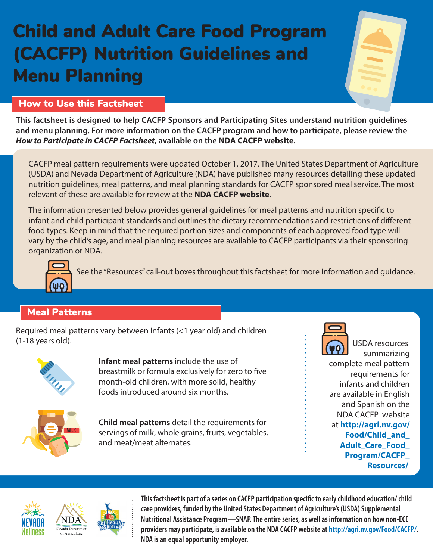# Child and Adult Care Food Program (CACFP) Nutrition Guidelines and Menu Planning

## How to Use this Factsheet

**This factsheet is designed to help CACFP Sponsors and Participating Sites understand nutrition guidelines and menu planning. For more information on the CACFP program and how to participate, please review the**  *How to Participate in CACFP Factsheet***, available on the [NDA CACFP website](http://agri.nv.gov/Food/CACFP/).**

CACFP meal pattern requirements were updated October 1, 2017. The United States Department of Agriculture (USDA) and Nevada Department of Agriculture (NDA) have published many resources detailing these updated nutrition guidelines, meal patterns, and meal planning standards for CACFP sponsored meal service. The most relevant of these are available for review at the **[NDA CACFP website](http://agri.nv.gov/Food/CACFP/)**.

The information presented below provides general guidelines for meal patterns and nutrition specific to infant and child participant standards and outlines the dietary recommendations and restrictions of different food types. Keep in mind that the required portion sizes and components of each approved food type will vary by the child's age, and meal planning resources are available to CACFP participants via their sponsoring organization or NDA.



See the "Resources" call-out boxes throughout this factsheet for more information and guidance.

# Meal Patterns

Required meal patterns vary between infants (<1 year old) and children (1-18 years old).



**Infant meal patterns** include the use of breastmilk or formula exclusively for zero to five month-old children, with more solid, healthy foods introduced around six months.



**Child meal patterns** detail the requirements for servings of milk, whole grains, fruits, vegetables, and meat/meat alternates.



USDA resources summarizing complete meal pattern requirements for infants and children are available in English and Spanish on the

NDA CACFP website at **http://agri.nv.gov/ Food/Child\_and\_ Adult\_Care\_Food\_ Program/CACFP\_ Resources/**



**This factsheet is part of a series on CACFP participation specific to early childhood education/ child care providers, funded by the United States Department of Agriculture's (USDA) Supplemental Nutritional Assistance Program—SNAP. The entire series, as well as information on how non-ECE providers may participate, is available on the NDA CACFP website at http://agri.nv.gov/Food/CACFP/. NDA is an equal opportunity employer.**